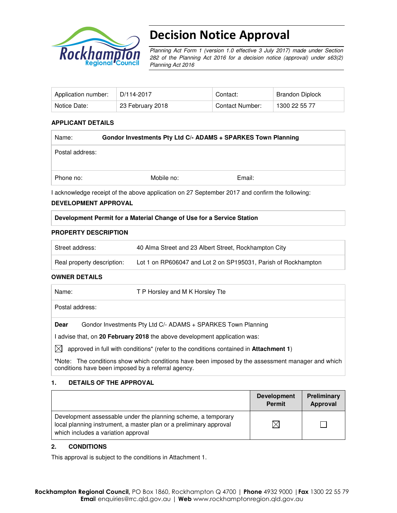

# Decision Notice Approval

Planning Act Form 1 (version 1.0 effective 3 July 2017) made under Section 282 of the Planning Act 2016 for a decision notice (approval) under s63(2) Planning Act 2016

| Application number: | D/114-2017       | Contact:        | Brandon Diplock |
|---------------------|------------------|-----------------|-----------------|
| Notice Date:        | 23 February 2018 | Contact Number: | 1300 22 55 77   |

#### **APPLICANT DETAILS**

| Name:           | Gondor Investments Pty Ltd C/- ADAMS + SPARKES Town Planning |        |  |  |  |
|-----------------|--------------------------------------------------------------|--------|--|--|--|
| Postal address: |                                                              |        |  |  |  |
| Phone no:       | Mobile no:                                                   | Email: |  |  |  |

I acknowledge receipt of the above application on 27 September 2017 and confirm the following:

#### **DEVELOPMENT APPROVAL**

#### **Development Permit for a Material Change of Use for a Service Station**

#### **PROPERTY DESCRIPTION**

| Street address:            | 40 Alma Street and 23 Albert Street, Rockhampton City          |
|----------------------------|----------------------------------------------------------------|
| Real property description: | Lot 1 on RP606047 and Lot 2 on SP195031, Parish of Rockhampton |

#### **OWNER DETAILS**

| Name:           | T P Horsley and M K Horsley Tte                                                                                                                         |
|-----------------|---------------------------------------------------------------------------------------------------------------------------------------------------------|
| Postal address: |                                                                                                                                                         |
| Dear            | Gondor Investments Pty Ltd C/- ADAMS + SPARKES Town Planning                                                                                            |
|                 | I advise that, on 20 February 2018 the above development application was:                                                                               |
| IХI             | approved in full with conditions <sup>*</sup> (refer to the conditions contained in <b>Attachment 1)</b>                                                |
|                 | *Note: The conditions show which conditions have been imposed by the assessment manager and which<br>conditions have been imposed by a referral agency. |

#### **1. DETAILS OF THE APPROVAL**

|                                                                                                                                                                            | <b>Development</b><br><b>Permit</b> | Preliminary<br>Approval |
|----------------------------------------------------------------------------------------------------------------------------------------------------------------------------|-------------------------------------|-------------------------|
| Development assessable under the planning scheme, a temporary<br>local planning instrument, a master plan or a preliminary approval<br>which includes a variation approval |                                     |                         |

#### **2. CONDITIONS**

This approval is subject to the conditions in Attachment 1.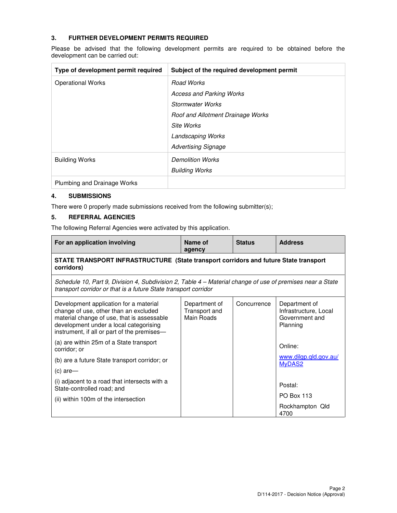#### **3. FURTHER DEVELOPMENT PERMITS REQUIRED**

Please be advised that the following development permits are required to be obtained before the development can be carried out:

| Type of development permit required | Subject of the required development permit |
|-------------------------------------|--------------------------------------------|
| <b>Operational Works</b>            | Road Works                                 |
|                                     | <b>Access and Parking Works</b>            |
|                                     | <b>Stormwater Works</b>                    |
|                                     | Roof and Allotment Drainage Works          |
|                                     | Site Works                                 |
|                                     | <b>Landscaping Works</b>                   |
|                                     | <b>Advertising Signage</b>                 |
| <b>Building Works</b>               | <b>Demolition Works</b>                    |
|                                     | <b>Building Works</b>                      |
| Plumbing and Drainage Works         |                                            |

#### **4. SUBMISSIONS**

There were 0 properly made submissions received from the following submitter(s);

#### **5. REFERRAL AGENCIES**

The following Referral Agencies were activated by this application.

| For an application involving                                                                                                                                                                                           | Name of<br>agency                            | <b>Status</b> | <b>Address</b>                                                       |  |  |
|------------------------------------------------------------------------------------------------------------------------------------------------------------------------------------------------------------------------|----------------------------------------------|---------------|----------------------------------------------------------------------|--|--|
| STATE TRANSPORT INFRASTRUCTURE (State transport corridors and future State transport<br>corridors)                                                                                                                     |                                              |               |                                                                      |  |  |
| Schedule 10, Part 9, Division 4, Subdivision 2, Table 4 – Material change of use of premises near a State<br>transport corridor or that is a future State transport corridor                                           |                                              |               |                                                                      |  |  |
| Development application for a material<br>change of use, other than an excluded<br>material change of use, that is assessable<br>development under a local categorising<br>instrument, if all or part of the premises- | Department of<br>Transport and<br>Main Roads | Concurrence   | Department of<br>Infrastructure, Local<br>Government and<br>Planning |  |  |
| (a) are within 25m of a State transport<br>corridor: or                                                                                                                                                                |                                              |               | Online:                                                              |  |  |
| (b) are a future State transport corridor; or                                                                                                                                                                          |                                              |               | www.dilgp.qld.gov.au/<br>MyDAS2                                      |  |  |
| (c) are-                                                                                                                                                                                                               |                                              |               |                                                                      |  |  |
| (i) adjacent to a road that intersects with a<br>State-controlled road; and                                                                                                                                            |                                              |               | Postal:                                                              |  |  |
| (ii) within 100m of the intersection                                                                                                                                                                                   |                                              |               | <b>PO Box 113</b>                                                    |  |  |
|                                                                                                                                                                                                                        |                                              |               | Rockhampton Qld<br>4700                                              |  |  |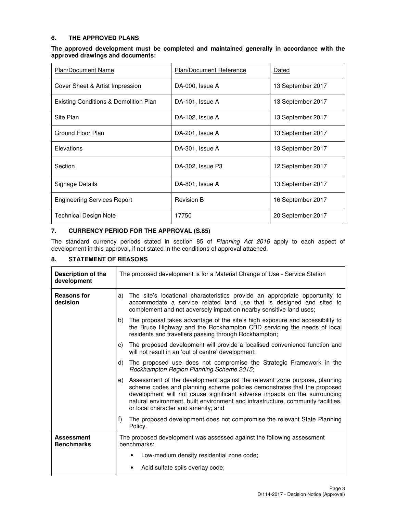#### **6. THE APPROVED PLANS**

| The approved development must be completed and maintained generally in accordance with the |  |  |  |  |  |
|--------------------------------------------------------------------------------------------|--|--|--|--|--|
| approved drawings and documents:                                                           |  |  |  |  |  |

| <b>Plan/Document Name</b>                        | Plan/Document Reference | Dated             |
|--------------------------------------------------|-------------------------|-------------------|
| Cover Sheet & Artist Impression                  | DA-000, Issue A         | 13 September 2017 |
| <b>Existing Conditions &amp; Demolition Plan</b> | DA-101, Issue A         | 13 September 2017 |
| Site Plan                                        | DA-102, Issue A         | 13 September 2017 |
| Ground Floor Plan                                | DA-201, Issue A         | 13 September 2017 |
| Elevations                                       | DA-301, Issue A         | 13 September 2017 |
| Section                                          | DA-302, Issue P3        | 12 September 2017 |
| Signage Details                                  | DA-801, Issue A         | 13 September 2017 |
| <b>Engineering Services Report</b>               | <b>Revision B</b>       | 16 September 2017 |
| <b>Technical Design Note</b>                     | 17750                   | 20 September 2017 |

#### **7. CURRENCY PERIOD FOR THE APPROVAL (S.85)**

The standard currency periods stated in section 85 of Planning Act 2016 apply to each aspect of development in this approval, if not stated in the conditions of approval attached.

### **8. STATEMENT OF REASONS**

| Description of the<br>development      | The proposed development is for a Material Change of Use - Service Station                                                                                                                                                                                                                                                                                          |  |  |  |  |  |
|----------------------------------------|---------------------------------------------------------------------------------------------------------------------------------------------------------------------------------------------------------------------------------------------------------------------------------------------------------------------------------------------------------------------|--|--|--|--|--|
| <b>Reasons for</b><br>decision         | The site's locational characteristics provide an appropriate opportunity to<br>a)<br>accommodate a service related land use that is designed and sited to<br>complement and not adversely impact on nearby sensitive land uses;                                                                                                                                     |  |  |  |  |  |
|                                        | The proposal takes advantage of the site's high exposure and accessibility to<br>the Bruce Highway and the Rockhampton CBD servicing the needs of local<br>residents and travellers passing through Rockhampton;                                                                                                                                                    |  |  |  |  |  |
|                                        | The proposed development will provide a localised convenience function and<br>C)<br>will not result in an 'out of centre' development;                                                                                                                                                                                                                              |  |  |  |  |  |
|                                        | The proposed use does not compromise the Strategic Framework in the<br>d)<br>Rockhampton Region Planning Scheme 2015;                                                                                                                                                                                                                                               |  |  |  |  |  |
|                                        | Assessment of the development against the relevant zone purpose, planning<br>e)<br>scheme codes and planning scheme policies demonstrates that the proposed<br>development will not cause significant adverse impacts on the surrounding<br>natural environment, built environment and infrastructure, community facilities,<br>or local character and amenity; and |  |  |  |  |  |
|                                        | f)<br>The proposed development does not compromise the relevant State Planning<br>Policy.                                                                                                                                                                                                                                                                           |  |  |  |  |  |
| <b>Assessment</b><br><b>Benchmarks</b> | The proposed development was assessed against the following assessment<br>benchmarks:                                                                                                                                                                                                                                                                               |  |  |  |  |  |
|                                        | Low-medium density residential zone code;                                                                                                                                                                                                                                                                                                                           |  |  |  |  |  |
|                                        | Acid sulfate soils overlay code;                                                                                                                                                                                                                                                                                                                                    |  |  |  |  |  |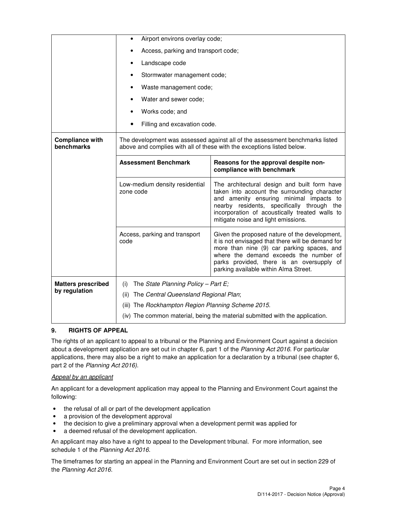|                                      | Airport environs overlay code;<br>$\bullet$                                                                                                            |                                                                                                                                                                                                                                                                                  |  |  |  |
|--------------------------------------|--------------------------------------------------------------------------------------------------------------------------------------------------------|----------------------------------------------------------------------------------------------------------------------------------------------------------------------------------------------------------------------------------------------------------------------------------|--|--|--|
|                                      | Access, parking and transport code;                                                                                                                    |                                                                                                                                                                                                                                                                                  |  |  |  |
|                                      | Landscape code                                                                                                                                         |                                                                                                                                                                                                                                                                                  |  |  |  |
|                                      | Stormwater management code;<br>$\bullet$                                                                                                               |                                                                                                                                                                                                                                                                                  |  |  |  |
|                                      | Waste management code;<br>٠                                                                                                                            |                                                                                                                                                                                                                                                                                  |  |  |  |
|                                      | Water and sewer code;<br>$\bullet$                                                                                                                     |                                                                                                                                                                                                                                                                                  |  |  |  |
|                                      | Works code; and                                                                                                                                        |                                                                                                                                                                                                                                                                                  |  |  |  |
|                                      | Filling and excavation code.                                                                                                                           |                                                                                                                                                                                                                                                                                  |  |  |  |
| <b>Compliance with</b><br>benchmarks | The development was assessed against all of the assessment benchmarks listed<br>above and complies with all of these with the exceptions listed below. |                                                                                                                                                                                                                                                                                  |  |  |  |
|                                      | <b>Assessment Benchmark</b><br>Reasons for the approval despite non-<br>compliance with benchmark                                                      |                                                                                                                                                                                                                                                                                  |  |  |  |
|                                      | Low-medium density residential<br>zone code                                                                                                            | The architectural design and built form have<br>taken into account the surrounding character<br>and amenity ensuring minimal impacts to<br>nearby residents, specifically through the<br>incorporation of acoustically treated walls to<br>mitigate noise and light emissions.   |  |  |  |
|                                      | Access, parking and transport<br>code                                                                                                                  | Given the proposed nature of the development,<br>it is not envisaged that there will be demand for<br>more than nine (9) car parking spaces, and<br>where the demand exceeds the number of<br>parks provided, there is an oversupply of<br>parking available within Alma Street. |  |  |  |
| <b>Matters prescribed</b>            | The State Planning Policy - Part E;<br>(i)                                                                                                             |                                                                                                                                                                                                                                                                                  |  |  |  |
| by regulation                        | The Central Queensland Regional Plan;<br>(ii)                                                                                                          |                                                                                                                                                                                                                                                                                  |  |  |  |
|                                      | (iii) The Rockhampton Region Planning Scheme 2015.                                                                                                     |                                                                                                                                                                                                                                                                                  |  |  |  |
|                                      | (iv) The common material, being the material submitted with the application.                                                                           |                                                                                                                                                                                                                                                                                  |  |  |  |

## **9. RIGHTS OF APPEAL**

The rights of an applicant to appeal to a tribunal or the Planning and Environment Court against a decision about a development application are set out in chapter 6, part 1 of the Planning Act 2016. For particular applications, there may also be a right to make an application for a declaration by a tribunal (see chapter 6, part 2 of the Planning Act 2016).

#### Appeal by an applicant

An applicant for a development application may appeal to the Planning and Environment Court against the following:

- the refusal of all or part of the development application
- a provision of the development approval
- the decision to give a preliminary approval when a development permit was applied for
- a deemed refusal of the development application.

An applicant may also have a right to appeal to the Development tribunal. For more information, see schedule 1 of the Planning Act 2016.

The timeframes for starting an appeal in the Planning and Environment Court are set out in section 229 of the Planning Act 2016.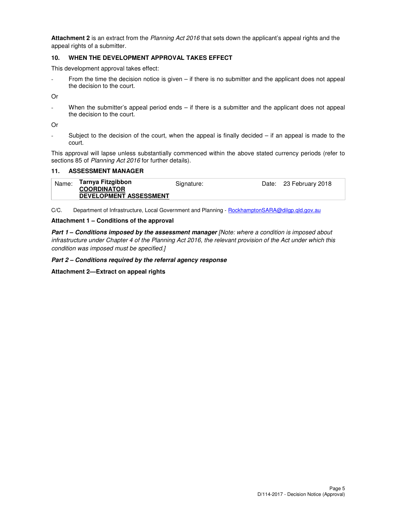**Attachment 2** is an extract from the Planning Act 2016 that sets down the applicant's appeal rights and the appeal rights of a submitter.

#### **10. WHEN THE DEVELOPMENT APPROVAL TAKES EFFECT**

This development approval takes effect:

From the time the decision notice is given  $-$  if there is no submitter and the applicant does not appeal the decision to the court.

Or

When the submitter's appeal period ends  $-$  if there is a submitter and the applicant does not appeal the decision to the court.

Or

Subject to the decision of the court, when the appeal is finally decided  $-$  if an appeal is made to the court.

This approval will lapse unless substantially commenced within the above stated currency periods (refer to sections 85 of Planning Act 2016 for further details).

#### **11. ASSESSMENT MANAGER**

| Name: | Tarnya Fitzgibbon<br><b>COORDINATOR</b> | Signature: | Date: 23 February 2018 |
|-------|-----------------------------------------|------------|------------------------|
|       | <b>DEVELOPMENT ASSESSMENT</b>           |            |                        |

C/C. Department of Infrastructure, Local Government and Planning - RockhamptonSARA@dilgp.qld.gov.au

#### **Attachment 1 – Conditions of the approval**

**Part 1 – Conditions imposed by the assessment manager** [Note: where a condition is imposed about infrastructure under Chapter 4 of the Planning Act 2016, the relevant provision of the Act under which this condition was imposed must be specified.]

**Part 2 – Conditions required by the referral agency response** 

**Attachment 2—Extract on appeal rights**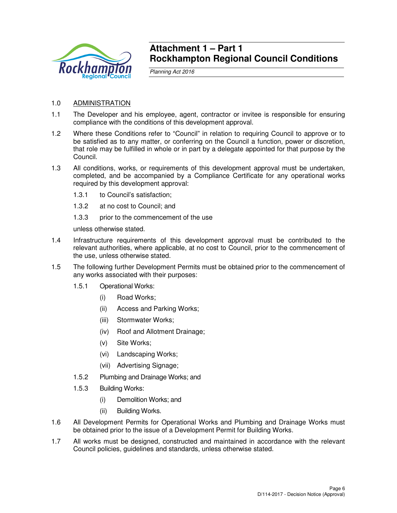

# **Attachment 1 – Part 1 Rockhampton Regional Council Conditions**

Planning Act 2016

- 1.0 ADMINISTRATION
- 1.1 The Developer and his employee, agent, contractor or invitee is responsible for ensuring compliance with the conditions of this development approval.
- 1.2 Where these Conditions refer to "Council" in relation to requiring Council to approve or to be satisfied as to any matter, or conferring on the Council a function, power or discretion, that role may be fulfilled in whole or in part by a delegate appointed for that purpose by the Council.
- 1.3 All conditions, works, or requirements of this development approval must be undertaken, completed, and be accompanied by a Compliance Certificate for any operational works required by this development approval:
	- 1.3.1 to Council's satisfaction;
	- 1.3.2 at no cost to Council; and
	- 1.3.3 prior to the commencement of the use

unless otherwise stated.

- 1.4 Infrastructure requirements of this development approval must be contributed to the relevant authorities, where applicable, at no cost to Council, prior to the commencement of the use, unless otherwise stated.
- 1.5 The following further Development Permits must be obtained prior to the commencement of any works associated with their purposes:
	- 1.5.1 Operational Works:
		- (i) Road Works;
		- (ii) Access and Parking Works;
		- (iii) Stormwater Works;
		- (iv) Roof and Allotment Drainage;
		- (v) Site Works;
		- (vi) Landscaping Works;
		- (vii) Advertising Signage;
	- 1.5.2 Plumbing and Drainage Works; and
	- 1.5.3 Building Works:
		- (i) Demolition Works; and
		- (ii) Building Works.
- 1.6 All Development Permits for Operational Works and Plumbing and Drainage Works must be obtained prior to the issue of a Development Permit for Building Works.
- 1.7 All works must be designed, constructed and maintained in accordance with the relevant Council policies, guidelines and standards, unless otherwise stated.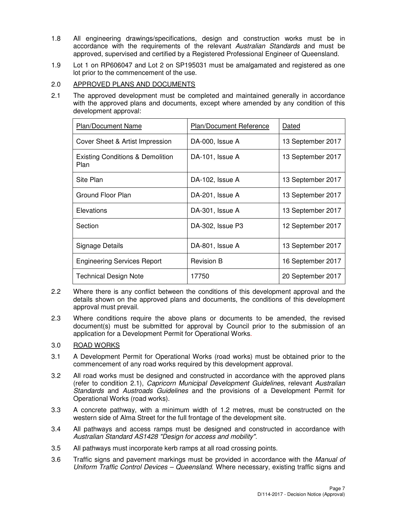- 1.8 All engineering drawings/specifications, design and construction works must be in accordance with the requirements of the relevant Australian Standards and must be approved, supervised and certified by a Registered Professional Engineer of Queensland.
- 1.9 Lot 1 on RP606047 and Lot 2 on SP195031 must be amalgamated and registered as one lot prior to the commencement of the use.

## 2.0 APPROVED PLANS AND DOCUMENTS

2.1 The approved development must be completed and maintained generally in accordance with the approved plans and documents, except where amended by any condition of this development approval:

| <b>Plan/Document Name</b>                           | Plan/Document Reference | Dated             |
|-----------------------------------------------------|-------------------------|-------------------|
| Cover Sheet & Artist Impression                     | DA-000, Issue A         | 13 September 2017 |
| <b>Existing Conditions &amp; Demolition</b><br>Plan | DA-101, Issue A         | 13 September 2017 |
| Site Plan                                           | DA-102, Issue A         | 13 September 2017 |
| Ground Floor Plan                                   | DA-201, Issue A         | 13 September 2017 |
| Elevations                                          | DA-301, Issue A         | 13 September 2017 |
| Section                                             | DA-302, Issue P3        | 12 September 2017 |
| Signage Details                                     | DA-801, Issue A         | 13 September 2017 |
| <b>Engineering Services Report</b>                  | <b>Revision B</b>       | 16 September 2017 |
| <b>Technical Design Note</b>                        | 17750                   | 20 September 2017 |

- 2.2 Where there is any conflict between the conditions of this development approval and the details shown on the approved plans and documents, the conditions of this development approval must prevail.
- 2.3 Where conditions require the above plans or documents to be amended, the revised document(s) must be submitted for approval by Council prior to the submission of an application for a Development Permit for Operational Works.

## 3.0 ROAD WORKS

- 3.1 A Development Permit for Operational Works (road works) must be obtained prior to the commencement of any road works required by this development approval.
- 3.2 All road works must be designed and constructed in accordance with the approved plans (refer to condition 2.1), Capricorn Municipal Development Guidelines, relevant Australian Standards and Austroads Guidelines and the provisions of a Development Permit for Operational Works (road works).
- 3.3 A concrete pathway, with a minimum width of 1.2 metres, must be constructed on the western side of Alma Street for the full frontage of the development site.
- 3.4 All pathways and access ramps must be designed and constructed in accordance with Australian Standard AS1428 "Design for access and mobility".
- 3.5 All pathways must incorporate kerb ramps at all road crossing points.
- 3.6 Traffic signs and pavement markings must be provided in accordance with the Manual of Uniform Traffic Control Devices – Queensland. Where necessary, existing traffic signs and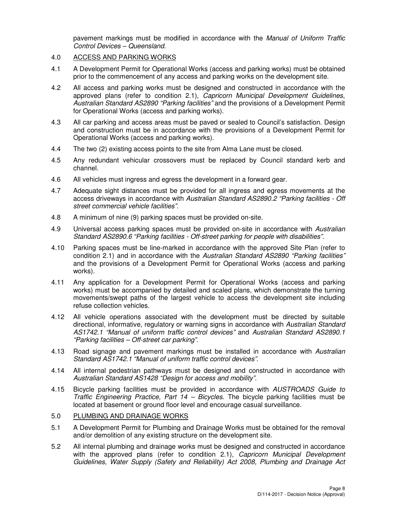pavement markings must be modified in accordance with the Manual of Uniform Traffic Control Devices – Queensland.

#### 4.0 ACCESS AND PARKING WORKS

- 4.1 A Development Permit for Operational Works (access and parking works) must be obtained prior to the commencement of any access and parking works on the development site.
- 4.2 All access and parking works must be designed and constructed in accordance with the approved plans (refer to condition 2.1), Capricorn Municipal Development Guidelines, Australian Standard AS2890 "Parking facilities" and the provisions of a Development Permit for Operational Works (access and parking works).
- 4.3 All car parking and access areas must be paved or sealed to Council's satisfaction. Design and construction must be in accordance with the provisions of a Development Permit for Operational Works (access and parking works).
- 4.4 The two (2) existing access points to the site from Alma Lane must be closed.
- 4.5 Any redundant vehicular crossovers must be replaced by Council standard kerb and channel.
- 4.6 All vehicles must ingress and egress the development in a forward gear.
- 4.7 Adequate sight distances must be provided for all ingress and egress movements at the access driveways in accordance with Australian Standard AS2890.2 "Parking facilities - Off street commercial vehicle facilities".
- 4.8 A minimum of nine (9) parking spaces must be provided on-site.
- 4.9 Universal access parking spaces must be provided on-site in accordance with Australian Standard AS2890.6 "Parking facilities - Off-street parking for people with disabilities".
- 4.10 Parking spaces must be line-marked in accordance with the approved Site Plan (refer to condition 2.1) and in accordance with the Australian Standard AS2890 "Parking facilities" and the provisions of a Development Permit for Operational Works (access and parking works).
- 4.11 Any application for a Development Permit for Operational Works (access and parking works) must be accompanied by detailed and scaled plans, which demonstrate the turning movements/swept paths of the largest vehicle to access the development site including refuse collection vehicles.
- 4.12 All vehicle operations associated with the development must be directed by suitable directional, informative, regulatory or warning signs in accordance with Australian Standard AS1742.1 "Manual of uniform traffic control devices" and Australian Standard AS2890.1 "Parking facilities – Off-street car parking".
- 4.13 Road signage and pavement markings must be installed in accordance with Australian Standard AS1742.1 "Manual of uniform traffic control devices".
- 4.14 All internal pedestrian pathways must be designed and constructed in accordance with Australian Standard AS1428 "Design for access and mobility".
- 4.15 Bicycle parking facilities must be provided in accordance with AUSTROADS Guide to Traffic Engineering Practice, Part  $14$  – Bicycles. The bicycle parking facilities must be located at basement or ground floor level and encourage casual surveillance.

# 5.0 PLUMBING AND DRAINAGE WORKS

- 5.1 A Development Permit for Plumbing and Drainage Works must be obtained for the removal and/or demolition of any existing structure on the development site.
- 5.2 All internal plumbing and drainage works must be designed and constructed in accordance with the approved plans (refer to condition 2.1), Capricorn Municipal Development Guidelines, Water Supply (Safety and Reliability) Act 2008, Plumbing and Drainage Act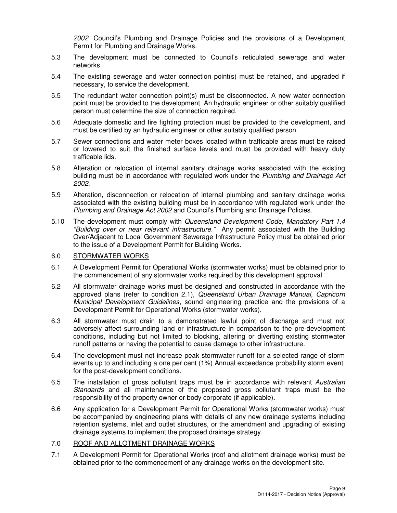2002, Council's Plumbing and Drainage Policies and the provisions of a Development Permit for Plumbing and Drainage Works.

- 5.3 The development must be connected to Council's reticulated sewerage and water networks.
- 5.4 The existing sewerage and water connection point(s) must be retained, and upgraded if necessary, to service the development.
- 5.5 The redundant water connection point(s) must be disconnected. A new water connection point must be provided to the development. An hydraulic engineer or other suitably qualified person must determine the size of connection required.
- 5.6 Adequate domestic and fire fighting protection must be provided to the development, and must be certified by an hydraulic engineer or other suitably qualified person.
- 5.7 Sewer connections and water meter boxes located within trafficable areas must be raised or lowered to suit the finished surface levels and must be provided with heavy duty trafficable lids.
- 5.8 Alteration or relocation of internal sanitary drainage works associated with the existing building must be in accordance with regulated work under the Plumbing and Drainage Act 2002.
- 5.9 Alteration, disconnection or relocation of internal plumbing and sanitary drainage works associated with the existing building must be in accordance with regulated work under the Plumbing and Drainage Act 2002 and Council's Plumbing and Drainage Policies.
- 5.10 The development must comply with Queensland Development Code, Mandatory Part 1.4 "Building over or near relevant infrastructure." Any permit associated with the Building Over/Adjacent to Local Government Sewerage Infrastructure Policy must be obtained prior to the issue of a Development Permit for Building Works.

# 6.0 STORMWATER WORKS

- 6.1 A Development Permit for Operational Works (stormwater works) must be obtained prior to the commencement of any stormwater works required by this development approval.
- 6.2 All stormwater drainage works must be designed and constructed in accordance with the approved plans (refer to condition 2.1), Queensland Urban Drainage Manual, Capricorn Municipal Development Guidelines, sound engineering practice and the provisions of a Development Permit for Operational Works (stormwater works).
- 6.3 All stormwater must drain to a demonstrated lawful point of discharge and must not adversely affect surrounding land or infrastructure in comparison to the pre-development conditions, including but not limited to blocking, altering or diverting existing stormwater runoff patterns or having the potential to cause damage to other infrastructure.
- 6.4 The development must not increase peak stormwater runoff for a selected range of storm events up to and including a one per cent (1%) Annual exceedance probability storm event, for the post-development conditions.
- 6.5 The installation of gross pollutant traps must be in accordance with relevant Australian Standards and all maintenance of the proposed gross pollutant traps must be the responsibility of the property owner or body corporate (if applicable).
- 6.6 Any application for a Development Permit for Operational Works (stormwater works) must be accompanied by engineering plans with details of any new drainage systems including retention systems, inlet and outlet structures, or the amendment and upgrading of existing drainage systems to implement the proposed drainage strategy.

#### 7.0 ROOF AND ALLOTMENT DRAINAGE WORKS

7.1 A Development Permit for Operational Works (roof and allotment drainage works) must be obtained prior to the commencement of any drainage works on the development site.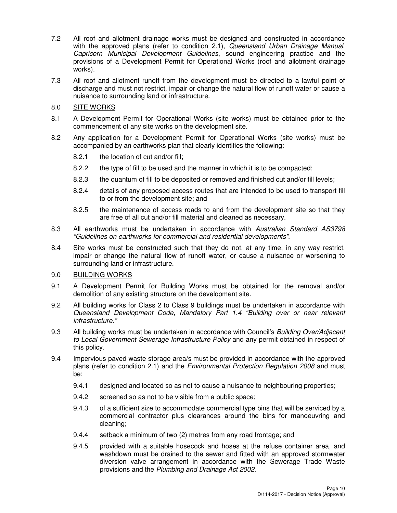- 7.2 All roof and allotment drainage works must be designed and constructed in accordance with the approved plans (refer to condition 2.1), Queensland Urban Drainage Manual, Capricorn Municipal Development Guidelines, sound engineering practice and the provisions of a Development Permit for Operational Works (roof and allotment drainage works).
- 7.3 All roof and allotment runoff from the development must be directed to a lawful point of discharge and must not restrict, impair or change the natural flow of runoff water or cause a nuisance to surrounding land or infrastructure.

#### 8.0 SITE WORKS

- 8.1 A Development Permit for Operational Works (site works) must be obtained prior to the commencement of any site works on the development site.
- 8.2 Any application for a Development Permit for Operational Works (site works) must be accompanied by an earthworks plan that clearly identifies the following:
	- 8.2.1 the location of cut and/or fill;
	- 8.2.2 the type of fill to be used and the manner in which it is to be compacted;
	- 8.2.3 the quantum of fill to be deposited or removed and finished cut and/or fill levels;
	- 8.2.4 details of any proposed access routes that are intended to be used to transport fill to or from the development site; and
	- 8.2.5 the maintenance of access roads to and from the development site so that they are free of all cut and/or fill material and cleaned as necessary.
- 8.3 All earthworks must be undertaken in accordance with Australian Standard AS3798 "Guidelines on earthworks for commercial and residential developments".
- 8.4 Site works must be constructed such that they do not, at any time, in any way restrict, impair or change the natural flow of runoff water, or cause a nuisance or worsening to surrounding land or infrastructure.

#### 9.0 BUILDING WORKS

- 9.1 A Development Permit for Building Works must be obtained for the removal and/or demolition of any existing structure on the development site.
- 9.2 All building works for Class 2 to Class 9 buildings must be undertaken in accordance with Queensland Development Code, Mandatory Part 1.4 "Building over or near relevant infrastructure."
- 9.3 All building works must be undertaken in accordance with Council's Building Over/Adjacent to Local Government Sewerage Infrastructure Policy and any permit obtained in respect of this policy.
- 9.4 Impervious paved waste storage area/s must be provided in accordance with the approved plans (refer to condition 2.1) and the Environmental Protection Regulation 2008 and must be:
	- 9.4.1 designed and located so as not to cause a nuisance to neighbouring properties;
	- 9.4.2 screened so as not to be visible from a public space;
	- 9.4.3 of a sufficient size to accommodate commercial type bins that will be serviced by a commercial contractor plus clearances around the bins for manoeuvring and cleaning;
	- 9.4.4 setback a minimum of two (2) metres from any road frontage; and
	- 9.4.5 provided with a suitable hosecock and hoses at the refuse container area, and washdown must be drained to the sewer and fitted with an approved stormwater diversion valve arrangement in accordance with the Sewerage Trade Waste provisions and the Plumbing and Drainage Act 2002.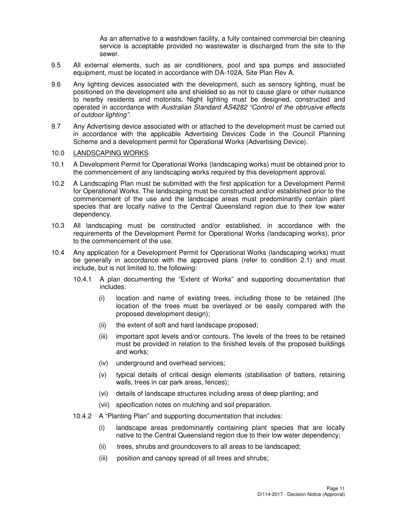As an alternative to a washdown facility, a fully contained commercial bin cleaning service is acceptable provided no wastewater is discharged from the site to the sewer.

- 9.5 All external elements, such as air conditioners, pool and spa pumps and associated equipment, must be located in accordance with DA-102A, Site Plan Rev A.
- 9.6 Any lighting devices associated with the development, such as sensory lighting, must be positioned on the development site and shielded so as not to cause glare or other nuisance to nearby residents and motorists. Night lighting must be designed, constructed and operated in accordance with Australian Standard AS4282 "Control of the obtrusive effects of outdoor lighting".
- 9.7 Any Advertising device associated with or attached to the development must be carried out in accordance with the applicable Advertising Devices Code in the Council Planning Scheme and a development permit for Operational Works (Advertising Device).

#### 10.0 LANDSCAPING WORKS

- 10.1 A Development Permit for Operational Works (landscaping works) must be obtained prior to the commencement of any landscaping works required by this development approval.
- 10.2 A Landscaping Plan must be submitted with the first application for a Development Permit for Operational Works. The landscaping must be constructed and/or established prior to the commencement of the use and the landscape areas must predominantly contain plant species that are locally native to the Central Queensland region due to their low water dependency.
- 10.3 All landscaping must be constructed and/or established, in accordance with the requirements of the Development Permit for Operational Works (landscaping works), prior to the commencement of the use.
- 10.4 Any application for a Development Permit for Operational Works (landscaping works) must be generally in accordance with the approved plans (refer to condition 2.1) and must include, but is not limited to, the following:
	- 10.4.1 A plan documenting the "Extent of Works" and supporting documentation that includes:
		- (i) location and name of existing trees, including those to be retained (the location of the trees must be overlayed or be easily compared with the proposed development design);
		- (ii) the extent of soft and hard landscape proposed;
		- (iii) important spot levels and/or contours. The levels of the trees to be retained must be provided in relation to the finished levels of the proposed buildings and works;
		- (iv) underground and overhead services;
		- (v) typical details of critical design elements (stabilisation of batters, retaining walls, trees in car park areas, fences);
		- (vi) details of landscape structures including areas of deep planting; and
		- (vii) specification notes on mulching and soil preparation.
	- 10.4.2 A "Planting Plan" and supporting documentation that includes:
		- (i) landscape areas predominantly containing plant species that are locally native to the Central Queensland region due to their low water dependency;
		- (ii) trees, shrubs and groundcovers to all areas to be landscaped;
		- (iii) position and canopy spread of all trees and shrubs;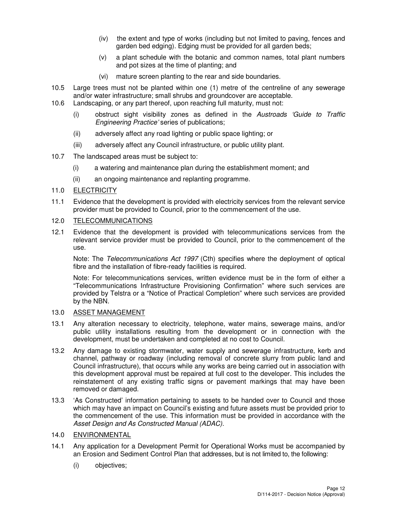- (iv) the extent and type of works (including but not limited to paving, fences and garden bed edging). Edging must be provided for all garden beds;
- (v) a plant schedule with the botanic and common names, total plant numbers and pot sizes at the time of planting; and
- (vi) mature screen planting to the rear and side boundaries.
- 10.5 Large trees must not be planted within one (1) metre of the centreline of any sewerage and/or water infrastructure; small shrubs and groundcover are acceptable.
- 10.6 Landscaping, or any part thereof, upon reaching full maturity, must not:
	- (i) obstruct sight visibility zones as defined in the Austroads 'Guide to Traffic Engineering Practice' series of publications;
	- (ii) adversely affect any road lighting or public space lighting; or
	- (iii) adversely affect any Council infrastructure, or public utility plant.
- 10.7 The landscaped areas must be subject to:
	- (i) a watering and maintenance plan during the establishment moment; and
	- (ii) an ongoing maintenance and replanting programme.

#### 11.0 ELECTRICITY

11.1 Evidence that the development is provided with electricity services from the relevant service provider must be provided to Council, prior to the commencement of the use.

#### 12.0 TELECOMMUNICATIONS

12.1 Evidence that the development is provided with telecommunications services from the relevant service provider must be provided to Council, prior to the commencement of the use.

Note: The Telecommunications Act 1997 (Cth) specifies where the deployment of optical fibre and the installation of fibre-ready facilities is required.

Note: For telecommunications services, written evidence must be in the form of either a "Telecommunications Infrastructure Provisioning Confirmation" where such services are provided by Telstra or a "Notice of Practical Completion" where such services are provided by the NBN.

#### 13.0 ASSET MANAGEMENT

- 13.1 Any alteration necessary to electricity, telephone, water mains, sewerage mains, and/or public utility installations resulting from the development or in connection with the development, must be undertaken and completed at no cost to Council.
- 13.2 Any damage to existing stormwater, water supply and sewerage infrastructure, kerb and channel, pathway or roadway (including removal of concrete slurry from public land and Council infrastructure), that occurs while any works are being carried out in association with this development approval must be repaired at full cost to the developer. This includes the reinstatement of any existing traffic signs or pavement markings that may have been removed or damaged.
- 13.3 'As Constructed' information pertaining to assets to be handed over to Council and those which may have an impact on Council's existing and future assets must be provided prior to the commencement of the use. This information must be provided in accordance with the Asset Design and As Constructed Manual (ADAC).

# 14.0 ENVIRONMENTAL

- 14.1 Any application for a Development Permit for Operational Works must be accompanied by an Erosion and Sediment Control Plan that addresses, but is not limited to, the following:
	- (i) objectives;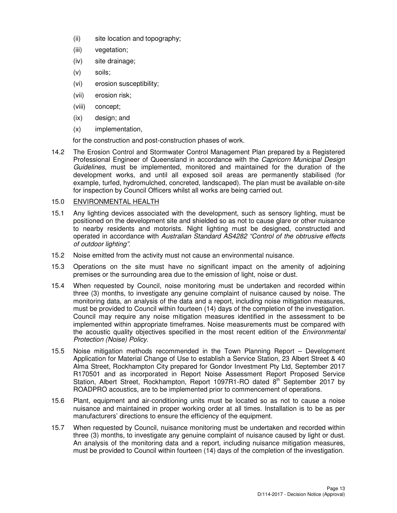- (ii) site location and topography;
- (iii) vegetation;
- (iv) site drainage;
- (v) soils;
- (vi) erosion susceptibility;
- (vii) erosion risk;
- (viii) concept;
- (ix) design; and
- (x) implementation,

for the construction and post-construction phases of work.

14.2 The Erosion Control and Stormwater Control Management Plan prepared by a Registered Professional Engineer of Queensland in accordance with the Capricorn Municipal Design Guidelines, must be implemented, monitored and maintained for the duration of the development works, and until all exposed soil areas are permanently stabilised (for example, turfed, hydromulched, concreted, landscaped). The plan must be available on-site for inspection by Council Officers whilst all works are being carried out.

# 15.0 ENVIRONMENTAL HEALTH

- 15.1 Any lighting devices associated with the development, such as sensory lighting, must be positioned on the development site and shielded so as not to cause glare or other nuisance to nearby residents and motorists. Night lighting must be designed, constructed and operated in accordance with Australian Standard AS4282 "Control of the obtrusive effects of outdoor lighting".
- 15.2 Noise emitted from the activity must not cause an environmental nuisance.
- 15.3 Operations on the site must have no significant impact on the amenity of adjoining premises or the surrounding area due to the emission of light, noise or dust.
- 15.4 When requested by Council, noise monitoring must be undertaken and recorded within three (3) months, to investigate any genuine complaint of nuisance caused by noise. The monitoring data, an analysis of the data and a report, including noise mitigation measures, must be provided to Council within fourteen (14) days of the completion of the investigation. Council may require any noise mitigation measures identified in the assessment to be implemented within appropriate timeframes. Noise measurements must be compared with the acoustic quality objectives specified in the most recent edition of the *Environmental* Protection (Noise) Policy.
- 15.5 Noise mitigation methods recommended in the Town Planning Report Development Application for Material Change of Use to establish a Service Station, 23 Albert Street & 40 Alma Street, Rockhampton City prepared for Gondor Investment Pty Ltd, September 2017 R170501 and as incorporated in Report Noise Assessment Report Proposed Service Station, Albert Street, Rockhampton, Report 1097R1-RO dated  $8<sup>th</sup>$  September 2017 by ROADPRO acoustics, are to be implemented prior to commencement of operations.
- 15.6 Plant, equipment and air-conditioning units must be located so as not to cause a noise nuisance and maintained in proper working order at all times. Installation is to be as per manufacturers' directions to ensure the efficiency of the equipment.
- 15.7 When requested by Council, nuisance monitoring must be undertaken and recorded within three (3) months, to investigate any genuine complaint of nuisance caused by light or dust. An analysis of the monitoring data and a report, including nuisance mitigation measures, must be provided to Council within fourteen (14) days of the completion of the investigation.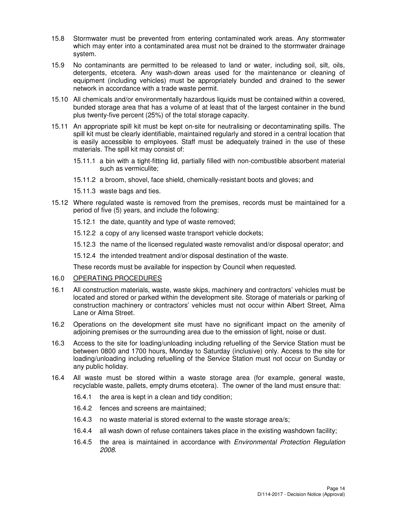- 15.8 Stormwater must be prevented from entering contaminated work areas. Any stormwater which may enter into a contaminated area must not be drained to the stormwater drainage system.
- 15.9 No contaminants are permitted to be released to land or water, including soil, silt, oils, detergents, etcetera. Any wash-down areas used for the maintenance or cleaning of equipment (including vehicles) must be appropriately bunded and drained to the sewer network in accordance with a trade waste permit.
- 15.10 All chemicals and/or environmentally hazardous liquids must be contained within a covered, bunded storage area that has a volume of at least that of the largest container in the bund plus twenty-five percent (25%) of the total storage capacity.
- 15.11 An appropriate spill kit must be kept on-site for neutralising or decontaminating spills. The spill kit must be clearly identifiable, maintained regularly and stored in a central location that is easily accessible to employees. Staff must be adequately trained in the use of these materials. The spill kit may consist of:
	- 15.11.1 a bin with a tight-fitting lid, partially filled with non-combustible absorbent material such as vermiculite;
	- 15.11.2 a broom, shovel, face shield, chemically-resistant boots and gloves; and
	- 15.11.3 waste bags and ties.
- 15.12 Where regulated waste is removed from the premises, records must be maintained for a period of five (5) years, and include the following:
	- 15.12.1 the date, quantity and type of waste removed;
	- 15.12.2 a copy of any licensed waste transport vehicle dockets;
	- 15.12.3 the name of the licensed regulated waste removalist and/or disposal operator; and
	- 15.12.4 the intended treatment and/or disposal destination of the waste.

These records must be available for inspection by Council when requested.

#### 16.0 OPERATING PROCEDURES

- 16.1 All construction materials, waste, waste skips, machinery and contractors' vehicles must be located and stored or parked within the development site. Storage of materials or parking of construction machinery or contractors' vehicles must not occur within Albert Street, Alma Lane or Alma Street.
- 16.2 Operations on the development site must have no significant impact on the amenity of adjoining premises or the surrounding area due to the emission of light, noise or dust.
- 16.3 Access to the site for loading/unloading including refuelling of the Service Station must be between 0800 and 1700 hours, Monday to Saturday (inclusive) only. Access to the site for loading/unloading including refuelling of the Service Station must not occur on Sunday or any public holiday.
- 16.4 All waste must be stored within a waste storage area (for example, general waste, recyclable waste, pallets, empty drums etcetera). The owner of the land must ensure that:
	- 16.4.1 the area is kept in a clean and tidy condition;
	- 16.4.2 fences and screens are maintained;
	- 16.4.3 no waste material is stored external to the waste storage area/s;
	- 16.4.4 all wash down of refuse containers takes place in the existing washdown facility;
	- 16.4.5 the area is maintained in accordance with Environmental Protection Regulation 2008.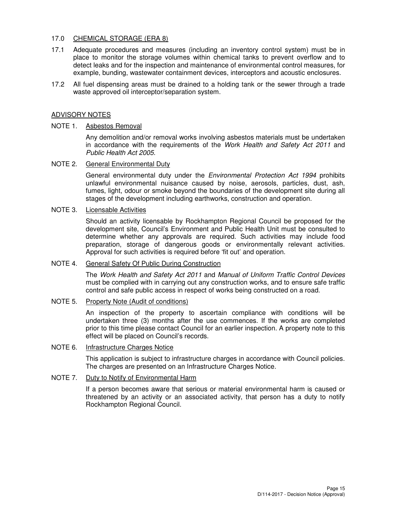# 17.0 CHEMICAL STORAGE (ERA 8)

- 17.1 Adequate procedures and measures (including an inventory control system) must be in place to monitor the storage volumes within chemical tanks to prevent overflow and to detect leaks and for the inspection and maintenance of environmental control measures, for example, bunding, wastewater containment devices, interceptors and acoustic enclosures.
- 17.2 All fuel dispensing areas must be drained to a holding tank or the sewer through a trade waste approved oil interceptor/separation system.

#### ADVISORY NOTES

#### NOTE 1. Asbestos Removal

Any demolition and/or removal works involving asbestos materials must be undertaken in accordance with the requirements of the Work Health and Safety Act 2011 and Public Health Act 2005.

#### NOTE 2. General Environmental Duty

General environmental duty under the *Environmental Protection Act 1994* prohibits unlawful environmental nuisance caused by noise, aerosols, particles, dust, ash, fumes, light, odour or smoke beyond the boundaries of the development site during all stages of the development including earthworks, construction and operation.

#### NOTE 3. Licensable Activities

Should an activity licensable by Rockhampton Regional Council be proposed for the development site, Council's Environment and Public Health Unit must be consulted to determine whether any approvals are required. Such activities may include food preparation, storage of dangerous goods or environmentally relevant activities. Approval for such activities is required before 'fit out' and operation.

#### NOTE 4. General Safety Of Public During Construction

The Work Health and Safety Act 2011 and Manual of Uniform Traffic Control Devices must be complied with in carrying out any construction works, and to ensure safe traffic control and safe public access in respect of works being constructed on a road.

#### NOTE 5. Property Note (Audit of conditions)

An inspection of the property to ascertain compliance with conditions will be undertaken three (3) months after the use commences. If the works are completed prior to this time please contact Council for an earlier inspection. A property note to this effect will be placed on Council's records.

#### NOTE 6. Infrastructure Charges Notice

This application is subject to infrastructure charges in accordance with Council policies. The charges are presented on an Infrastructure Charges Notice.

#### NOTE 7. Duty to Notify of Environmental Harm

If a person becomes aware that serious or material environmental harm is caused or threatened by an activity or an associated activity, that person has a duty to notify Rockhampton Regional Council.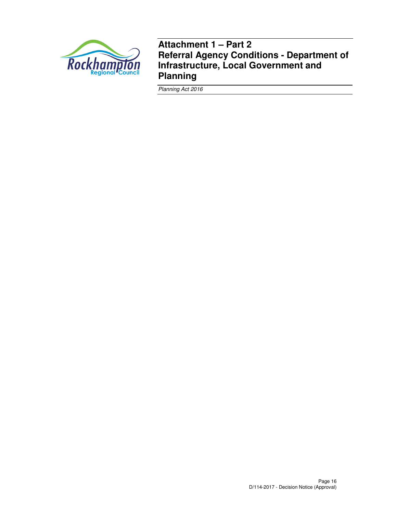

**Attachment 1 – Part 2 Referral Agency Conditions - Department of Infrastructure, Local Government and Planning** 

Planning Act 2016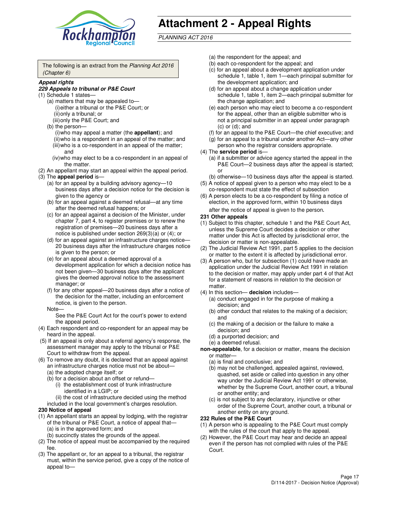

# **Attachment 2 - Appeal Rights**

PLANNING ACT 2016

The following is an extract from the Planning Act 2016 (Chapter 6)

#### **Appeal rights**

#### **229 Appeals to tribunal or P&E Court**

- (1) Schedule 1 states—
	- (a) matters that may be appealed to— (i) either a tribunal or the P&E Court; or (ii) only a tribunal; or (iii) only the P&E Court; and
	- (b) the person—
		- (i) who may appeal a matter (the **appellant**); and
		- (ii) who is a respondent in an appeal of the matter; and (iii) who is a co-respondent in an appeal of the matter;
		- and (iv) who may elect to be a co-respondent in an appeal of
- the matter. (2) An appellant may start an appeal within the appeal period.
- (3) The **appeal period** is—
	- (a) for an appeal by a building advisory agency—10 business days after a decision notice for the decision is given to the agency or
	- (b) for an appeal against a deemed refusal—at any time after the deemed refusal happens; or
	- (c) for an appeal against a decision of the Minister, under chapter 7, part 4, to register premises or to renew the registration of premises—20 business days after a notice is published under section 269(3)(a) or (4); or
	- (d) for an appeal against an infrastructure charges notice— 20 business days after the infrastructure charges notice is given to the person; or
	- (e) for an appeal about a deemed approval of a development application for which a decision notice has not been given—30 business days after the applicant gives the deemed approval notice to the assessment manager; or
	- (f) for any other appeal—20 business days after a notice of the decision for the matter, including an enforcement notice, is given to the person.
	- Note—

See the P&E Court Act for the court's power to extend the appeal period.

- (4) Each respondent and co-respondent for an appeal may be heard in the appeal.
- (5) If an appeal is only about a referral agency's response, the assessment manager may apply to the tribunal or P&E Court to withdraw from the appeal.
- (6) To remove any doubt, it is declared that an appeal against an infrastructure charges notice must not be about—
	- (a) the adopted charge itself; or
	- (b) for a decision about an offset or refund—
		- (i) the establishment cost of trunk infrastructure identified in a LGIP; or
		- (ii) the cost of infrastructure decided using the method
- included in the local government's charges resolution. **230 Notice of appeal**
- (1) An appellant starts an appeal by lodging, with the registrar of the tribunal or P&E Court, a notice of appeal that—
	- (a) is in the approved form; and
	- (b) succinctly states the grounds of the appeal.
- (2) The notice of appeal must be accompanied by the required fee.
- (3) The appellant or, for an appeal to a tribunal, the registrar must, within the service period, give a copy of the notice of appeal to—
- (a) the respondent for the appeal; and
- (b) each co-respondent for the appeal; and
- (c) for an appeal about a development application under schedule 1, table 1, item 1—each principal submitter for the development application; and
- (d) for an appeal about a change application under schedule 1, table 1, item 2—each principal submitter for the change application; and
- (e) each person who may elect to become a co-respondent for the appeal, other than an eligible submitter who is not a principal submitter in an appeal under paragraph  $(c)$  or  $(d)$ ; and
- (f) for an appeal to the P&E Court—the chief executive; and
- (g) for an appeal to a tribunal under another Act—any other person who the registrar considers appropriate.
- (4) The **service period** is—
	- (a) if a submitter or advice agency started the appeal in the P&E Court—2 business days after the appeal is started; or
	- (b) otherwise—10 business days after the appeal is started.
- (5) A notice of appeal given to a person who may elect to be a co-respondent must state the effect of subsection
- (6) A person elects to be a co-respondent by filing a notice of election, in the approved form, within 10 business days after the notice of appeal is given to the person*.*
- **231 Other appeals**
- (1) Subject to this chapter, schedule 1 and the P&E Court Act, unless the Supreme Court decides a decision or other matter under this Act is affected by jurisdictional error, the decision or matter is non-appealable.
- (2) The Judicial Review Act 1991, part 5 applies to the decision or matter to the extent it is affected by jurisdictional error.
- (3) A person who, but for subsection (1) could have made an application under the Judicial Review Act 1991 in relation to the decision or matter, may apply under part 4 of that Act for a statement of reasons in relation to the decision or matter.
- (4) In this section— **decision** includes—
	- (a) conduct engaged in for the purpose of making a decision; and
	- (b) other conduct that relates to the making of a decision; and
	- (c) the making of a decision or the failure to make a decision; and
	- (d) a purported decision; and
	- (e) a deemed refusal.

**non-appealable**, for a decision or matter, means the decision or matter—

- (a) is final and conclusive; and
- (b) may not be challenged, appealed against, reviewed, quashed, set aside or called into question in any other way under the Judicial Review Act 1991 or otherwise, whether by the Supreme Court, another court, a tribunal or another entity; and
- (c) is not subject to any declaratory, injunctive or other order of the Supreme Court, another court, a tribunal or another entity on any ground.

#### **232 Rules of the P&E Court**

- (1) A person who is appealing to the P&E Court must comply with the rules of the court that apply to the appeal.
- (2) However, the P&E Court may hear and decide an appeal even if the person has not complied with rules of the P&E Court.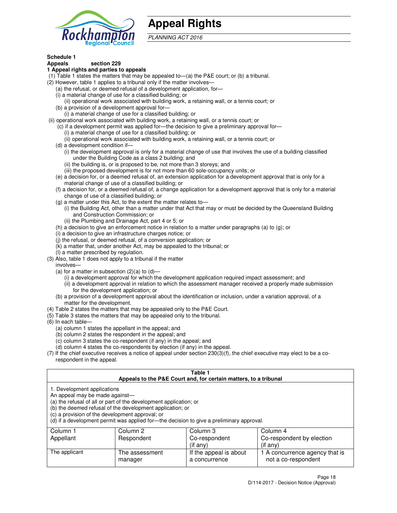

# **Appeal Rights**

PLANNING ACT 2016

# **Schedule 1**

## **Appeals section 229**

#### **1 Appeal rights and parties to appeals**

- (1) Table 1 states the matters that may be appealed to—(a) the P&E court; or (b) a tribunal.
- (2) However, table 1 applies to a tribunal only if the matter involves—
	- (a) the refusal, or deemed refusal of a development application, for—
	- (i) a material change of use for a classified building; or
	- (ii) operational work associated with building work, a retaining wall, or a tennis court; or
	- (b) a provision of a development approval for—
	- (i) a material change of use for a classified building; or
- (ii) operational work associated with building work, a retaining wall, or a tennis court; or
	- (c) if a development permit was applied for—the decision to give a preliminary approval for—
		- (i) a material change of use for a classified building; or
		- (ii) operational work associated with building work, a retaining wall, or a tennis court; or
	- (d) a development condition if—
		- (i) the development approval is only for a material change of use that involves the use of a building classified under the Building Code as a class 2 building; and
		- (ii) the building is, or is proposed to be, not more than 3 storeys; and
		- (iii) the proposed development is for not more than 60 sole-occupancy units; or
	- (e) a decision for, or a deemed refusal of, an extension application for a development approval that is only for a material change of use of a classified building; or
	- (f) a decision for, or a deemed refusal of, a change application for a development approval that is only for a material change of use of a classified building; or
	- (g) a matter under this Act, to the extent the matter relates to—
		- (i) the Building Act, other than a matter under that Act that may or must be decided by the Queensland Building and Construction Commission; or
		- (ii) the Plumbing and Drainage Act, part 4 or 5; or
	- (h) a decision to give an enforcement notice in relation to a matter under paragraphs (a) to (g); or
	- (i) a decision to give an infrastructure charges notice; or
	- (j) the refusal, or deemed refusal, of a conversion application; or
	- (k) a matter that, under another Act, may be appealed to the tribunal; or
	- (l) a matter prescribed by regulation.
- (3) Also, table 1 does not apply to a tribunal if the matter
	- involves—
	- (a) for a matter in subsection  $(2)(a)$  to  $(d)$ 
		- (i) a development approval for which the development application required impact assessment; and
		- (ii) a development approval in relation to which the assessment manager received a properly made submission for the development application; or
	- (b) a provision of a development approval about the identification or inclusion, under a variation approval, of a matter for the development.
- (4) Table 2 states the matters that may be appealed only to the P&E Court.
- (5) Table 3 states the matters that may be appealed only to the tribunal.
- (6) In each table—
	- (a) column 1 states the appellant in the appeal; and
	- (b) column 2 states the respondent in the appeal; and
	- (c) column 3 states the co-respondent (if any) in the appeal; and
	- (d) column 4 states the co-respondents by election (if any) in the appeal.
- (7) If the chief executive receives a notice of appeal under section 230(3)(f), the chief executive may elect to be a corespondent in the appeal.

| Table 1<br>Appeals to the P&E Court and, for certain matters, to a tribunal                                      |                                                                                                                                                                                                                            |                        |                                |
|------------------------------------------------------------------------------------------------------------------|----------------------------------------------------------------------------------------------------------------------------------------------------------------------------------------------------------------------------|------------------------|--------------------------------|
| 1. Development applications<br>An appeal may be made against-<br>(c) a provision of the development approval; or | (a) the refusal of all or part of the development application; or<br>(b) the deemed refusal of the development application; or<br>(d) if a development permit was applied for—the decision to give a preliminary approval. |                        |                                |
| Column 1                                                                                                         | Column 2                                                                                                                                                                                                                   | Column 3               | Column 4                       |
| Appellant                                                                                                        | Respondent                                                                                                                                                                                                                 | Co-respondent          | Co-respondent by election      |
|                                                                                                                  |                                                                                                                                                                                                                            | (if any)               | $($ if any $)$                 |
| The applicant                                                                                                    | The assessment                                                                                                                                                                                                             | If the appeal is about | 1 A concurrence agency that is |
|                                                                                                                  | manager                                                                                                                                                                                                                    | a concurrence          | not a co-respondent            |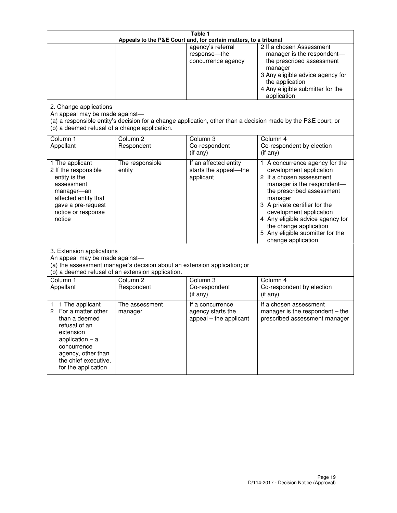| Table 1<br>Appeals to the P&E Court and, for certain matters, to a tribunal                                                                                                                             |                                                                                                                               |                                                                 |                                                                                                                                                                                                                                                                                                                                                 |
|---------------------------------------------------------------------------------------------------------------------------------------------------------------------------------------------------------|-------------------------------------------------------------------------------------------------------------------------------|-----------------------------------------------------------------|-------------------------------------------------------------------------------------------------------------------------------------------------------------------------------------------------------------------------------------------------------------------------------------------------------------------------------------------------|
|                                                                                                                                                                                                         |                                                                                                                               | agency's referral<br>response-the<br>concurrence agency         | 2 If a chosen Assessment<br>manager is the respondent-<br>the prescribed assessment<br>manager<br>3 Any eligible advice agency for<br>the application<br>4 Any eligible submitter for the<br>application                                                                                                                                        |
| 2. Change applications<br>An appeal may be made against-<br>(b) a deemed refusal of a change application.                                                                                               |                                                                                                                               |                                                                 | (a) a responsible entity's decision for a change application, other than a decision made by the P&E court; or                                                                                                                                                                                                                                   |
| Column 1<br>Appellant                                                                                                                                                                                   | Column <sub>2</sub><br>Respondent                                                                                             | Column 3<br>Co-respondent<br>(if any)                           | Column 4<br>Co-respondent by election<br>(if any)                                                                                                                                                                                                                                                                                               |
| 1 The applicant<br>2 If the responsible<br>entity is the<br>assessment<br>manager-an<br>affected entity that<br>gave a pre-request<br>notice or response<br>notice                                      | The responsible<br>entity                                                                                                     | If an affected entity<br>starts the appeal-the<br>applicant     | 1 A concurrence agency for the<br>development application<br>2 If a chosen assessment<br>manager is the respondent-<br>the prescribed assessment<br>manager<br>3 A private certifier for the<br>development application<br>4 Any eligible advice agency for<br>the change application<br>5 Any eligible submitter for the<br>change application |
| 3. Extension applications<br>An appeal may be made against-                                                                                                                                             | (a) the assessment manager's decision about an extension application; or<br>(b) a deemed refusal of an extension application. |                                                                 |                                                                                                                                                                                                                                                                                                                                                 |
| Column 1<br>Appellant                                                                                                                                                                                   | Column <sub>2</sub><br>Respondent                                                                                             | Column <sub>3</sub><br>Co-respondent<br>(if any)                | Column 4<br>Co-respondent by election<br>(if any)                                                                                                                                                                                                                                                                                               |
| 1 The applicant<br>1<br>For a matter other<br>2<br>than a deemed<br>refusal of an<br>extension<br>application $-$ a<br>concurrence<br>agency, other than<br>the chief executive,<br>for the application | The assessment<br>manager                                                                                                     | If a concurrence<br>agency starts the<br>appeal - the applicant | If a chosen assessment<br>manager is the respondent $-$ the<br>prescribed assessment manager                                                                                                                                                                                                                                                    |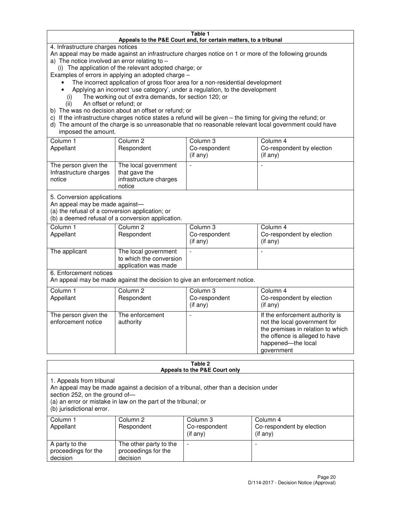#### **Table 1 Appeals to the P&E Court and, for certain matters, to a tribunal**

4. Infrastructure charges notices

An appeal may be made against an infrastructure charges notice on 1 or more of the following grounds

- a) The notice involved an error relating to
	- (i) The application of the relevant adopted charge; or
- Examples of errors in applying an adopted charge
	- The incorrect application of gross floor area for a non-residential development
	- Applying an incorrect 'use category', under a regulation, to the development
		- (i) The working out of extra demands, for section 120; or
		- (ii) An offset or refund; or
- b) The was no decision about an offset or refund; or
- c) If the infrastructure charges notice states a refund will be given the timing for giving the refund; or
- d) The amount of the charge is so unreasonable that no reasonable relevant local government could have imposed the amount.

| Column 1<br>Appellant                                    | Column 2<br>Respondent                                                    | Column 3<br>Co-respondent<br>$($ if any $)$ | Column 4<br>Co-respondent by election<br>$($ if any $)$ |
|----------------------------------------------------------|---------------------------------------------------------------------------|---------------------------------------------|---------------------------------------------------------|
| The person given the<br>Infrastructure charges<br>notice | The local government<br>that gave the<br>infrastructure charges<br>notice |                                             |                                                         |

5. Conversion applications

An appeal may be made against—

(a) the refusal of a conversion application; or

(b) a deemed refusal of a conversion application.

| Column 1<br>Appellant | Column 2<br>Respondent                                                  | Column 3<br>Co-respondent<br>$($ if any $)$ | Column 4<br>Co-respondent by election<br>$($ if any $)$ |
|-----------------------|-------------------------------------------------------------------------|---------------------------------------------|---------------------------------------------------------|
| The applicant         | The local government<br>to which the conversion<br>application was made |                                             |                                                         |

6. Enforcement notices

An appeal may be made against the decision to give an enforcement notice.

| Column 1<br>Appellant                      | Column 2<br>Respondent       | Column 3<br>Co-respondent<br>$($ if any $)$ | Column 4<br>Co-respondent by election<br>(if any)                                                                                                                          |
|--------------------------------------------|------------------------------|---------------------------------------------|----------------------------------------------------------------------------------------------------------------------------------------------------------------------------|
| The person given the<br>enforcement notice | The enforcement<br>authority |                                             | If the enforcement authority is<br>not the local government for<br>the premises in relation to which<br>the offence is alleged to have<br>happened-the local<br>government |

#### **Table 2 Appeals to the P&E Court only**

1. Appeals from tribunal

An appeal may be made against a decision of a tribunal, other than a decision under

section 252, on the ground of—

(a) an error or mistake in law on the part of the tribunal; or

(b) jurisdictional error.

| Column 1<br>Appellant                             | Column 2<br>Respondent                                    | Column 3<br>Co-respondent<br>$($ if any $)$ | Column 4<br>Co-respondent by election<br>$($ if any $)$ |
|---------------------------------------------------|-----------------------------------------------------------|---------------------------------------------|---------------------------------------------------------|
| A party to the<br>proceedings for the<br>decision | The other party to the<br>proceedings for the<br>decision | $\sim$                                      |                                                         |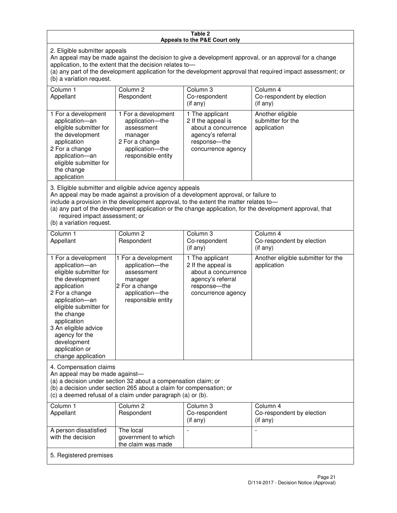#### **Table 2 Appeals to the P&E Court only**

2. Eligible submitter appeals

An appeal may be made against the decision to give a development approval, or an approval for a change application, to the extent that the decision relates to—

(a) any part of the development application for the development approval that required impact assessment; or (b) a variation request.

| Column 1<br>Appellant                                                                                                                                                                        | Column <sub>2</sub><br>Respondent                                                                                                                                                                                                       | Column 3<br>Co-respondent<br>(if any)                                                                                     | Column 4<br>Co-respondent by election<br>(i f any)                                                        |
|----------------------------------------------------------------------------------------------------------------------------------------------------------------------------------------------|-----------------------------------------------------------------------------------------------------------------------------------------------------------------------------------------------------------------------------------------|---------------------------------------------------------------------------------------------------------------------------|-----------------------------------------------------------------------------------------------------------|
| 1 For a development<br>application-an<br>eligible submitter for<br>the development<br>application<br>2 For a change<br>application-an<br>eligible submitter for<br>the change<br>application | 1 For a development<br>application-the<br>assessment<br>manager<br>2 For a change<br>application-the<br>responsible entity                                                                                                              | 1 The applicant<br>2 If the appeal is<br>about a concurrence<br>agency's referral<br>response---the<br>concurrence agency | Another eligible<br>submitter for the<br>application                                                      |
| required impact assessment; or<br>(b) a variation request.                                                                                                                                   | 3. Eligible submitter and eligible advice agency appeals<br>An appeal may be made against a provision of a development approval, or failure to<br>include a provision in the development approval, to the extent the matter relates to- |                                                                                                                           | (a) any part of the development application or the change application, for the development approval, that |
| Column 1<br>Appellant                                                                                                                                                                        | Column <sub>2</sub><br>Respondent                                                                                                                                                                                                       | Column 3<br>Co-respondent<br>(if any)                                                                                     | Column 4<br>Co-respondent by election<br>(if any)                                                         |
| 1 For a development<br>application-an<br>eligible submitter for<br>the development                                                                                                           | 1 For a development<br>application-the<br>assessment<br>manager                                                                                                                                                                         | 1 The applicant<br>2 If the appeal is<br>about a concurrence<br>agency's referral                                         | Another eligible submitter for the<br>application                                                         |

response—the concurrence agency

change application 4. Compensation claims

application 2 For a change application—an eligible submitter for

the change application 3 An eligible advice agency for the development application or

An appeal may be made against—

(a) a decision under section 32 about a compensation claim; or

2 For a change application—the responsible entity

(b) a decision under section 265 about a claim for compensation; or

(c) a deemed refusal of a claim under paragraph (a) or (b).

| Column 1<br>Appellant                      | Column 2<br>Respondent                                 | Column 3<br>Co-respondent<br>$(i$ f any) | Column 4<br>Co-respondent by election<br>(if any) |
|--------------------------------------------|--------------------------------------------------------|------------------------------------------|---------------------------------------------------|
| A person dissatisfied<br>with the decision | The local<br>government to which<br>the claim was made | -                                        |                                                   |
| 5. Registered premises                     |                                                        |                                          |                                                   |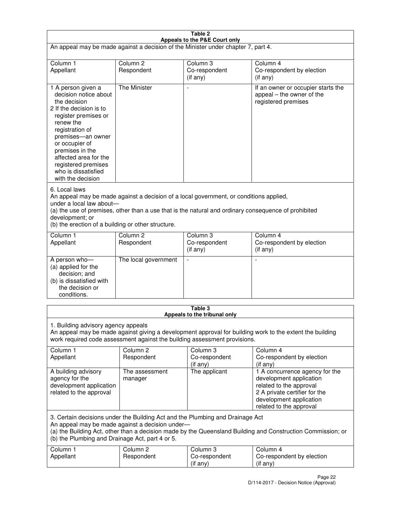| Table 2                                                                                                                                                                                                                                                                                                              |                                   |                                         |                                                                                                                                                                             |
|----------------------------------------------------------------------------------------------------------------------------------------------------------------------------------------------------------------------------------------------------------------------------------------------------------------------|-----------------------------------|-----------------------------------------|-----------------------------------------------------------------------------------------------------------------------------------------------------------------------------|
| Appeals to the P&E Court only<br>An appeal may be made against a decision of the Minister under chapter 7, part 4.                                                                                                                                                                                                   |                                   |                                         |                                                                                                                                                                             |
| Column 1                                                                                                                                                                                                                                                                                                             | Column <sub>2</sub>               | Column <sub>3</sub>                     | Column 4                                                                                                                                                                    |
| Appellant                                                                                                                                                                                                                                                                                                            | Respondent                        | Co-respondent<br>$($ if any $)$         | Co-respondent by election<br>(if any)                                                                                                                                       |
| 1 A person given a<br>decision notice about<br>the decision<br>2 If the decision is to<br>register premises or<br>renew the<br>registration of<br>premises-an owner<br>or occupier of<br>premises in the<br>affected area for the<br>registered premises<br>who is dissatisfied<br>with the decision                 | <b>The Minister</b>               | ÷,                                      | If an owner or occupier starts the<br>appeal – the owner of the<br>registered premises                                                                                      |
| 6. Local laws<br>An appeal may be made against a decision of a local government, or conditions applied,<br>under a local law about-<br>(a) the use of premises, other than a use that is the natural and ordinary consequence of prohibited<br>development; or<br>(b) the erection of a building or other structure. |                                   |                                         |                                                                                                                                                                             |
| Column 1<br>Appellant                                                                                                                                                                                                                                                                                                | Column 2<br>Respondent            | Column 3<br>Co-respondent<br>(if any)   | Column 4<br>Co-respondent by election<br>(if any)                                                                                                                           |
| A person who-<br>(a) applied for the<br>decision; and<br>(b) is dissatisfied with<br>the decision or<br>conditions.                                                                                                                                                                                                  | The local government              |                                         |                                                                                                                                                                             |
|                                                                                                                                                                                                                                                                                                                      |                                   | Table 3<br>Appeals to the tribunal only |                                                                                                                                                                             |
| 1. Building advisory agency appeals<br>An appeal may be made against giving a development approval for building work to the extent the building<br>work required code assessment against the building assessment provisions.                                                                                         |                                   |                                         |                                                                                                                                                                             |
| Column 1<br>Appellant                                                                                                                                                                                                                                                                                                | Column <sub>2</sub><br>Respondent | Column 3<br>Co-respondent<br>(if any)   | Column 4<br>Co-respondent by election<br>(if any)                                                                                                                           |
| A building advisory<br>agency for the<br>development application<br>related to the approval                                                                                                                                                                                                                          | The assessment<br>manager         | The applicant                           | 1 A concurrence agency for the<br>development application<br>related to the approval<br>2 A private certifier for the<br>development application<br>related to the approval |
| 3. Certain decisions under the Building Act and the Plumbing and Drainage Act<br>An appeal may be made against a decision under-<br>(a) the Building Act, other than a decision made by the Queensland Building and Construction Commission; or<br>(b) the Plumbing and Drainage Act, part 4 or 5.                   |                                   |                                         |                                                                                                                                                                             |
| Column 1<br>Appellant                                                                                                                                                                                                                                                                                                | Column <sub>2</sub><br>Respondent | Column 3<br>Co-respondent<br>(if any)   | Column 4<br>Co-respondent by election<br>(if any)                                                                                                                           |